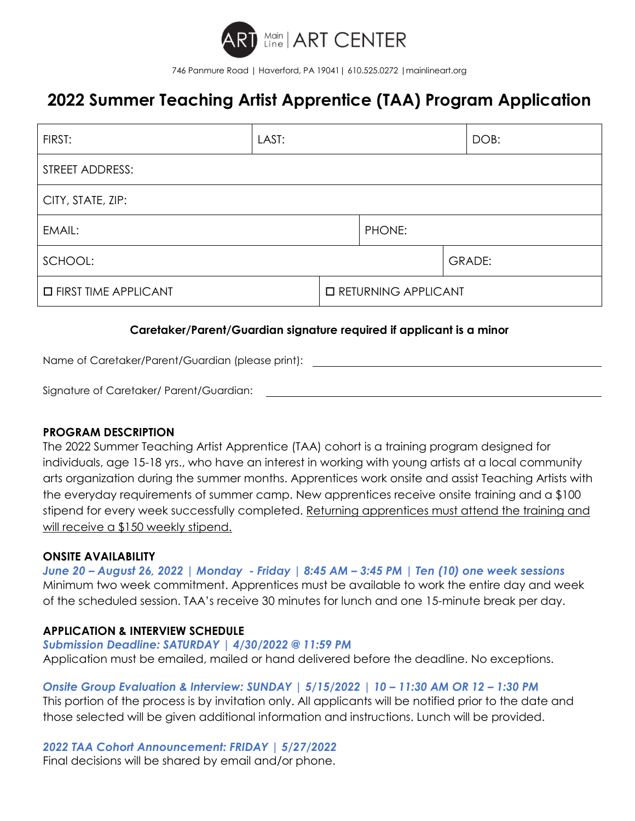

746 Panmure Road | Haverford, PA 19041| 610.525.0272 |mainlineart.org

# **2022 Summer Teaching Artist Apprentice (TAA) Program Application**

| FIRST:                        | LAST: |                              |        |  | DOB:          |  |
|-------------------------------|-------|------------------------------|--------|--|---------------|--|
| STREET ADDRESS:               |       |                              |        |  |               |  |
| CITY, STATE, ZIP:             |       |                              |        |  |               |  |
| EMAIL:                        |       |                              | PHONE: |  |               |  |
| SCHOOL:                       |       |                              |        |  | <b>GRADE:</b> |  |
| <b>O FIRST TIME APPLICANT</b> |       | <b>O RETURNING APPLICANT</b> |        |  |               |  |

### **Caretaker/Parent/Guardian signature required if applicant is a minor**

Name of Caretaker/Parent/Guardian (please print):

Signature of Caretaker/ Parent/Guardian:

### **PROGRAM DESCRIPTION**

The 2022 Summer Teaching Artist Apprentice (TAA) cohort is a training program designed for individuals, age 15-18 yrs., who have an interest in working with young artists at a local community arts organization during the summer months. Apprentices work onsite and assist Teaching Artists with the everyday requirements of summer camp. New apprentices receive onsite training and a \$100 stipend for every week successfully completed. Returning apprentices must attend the training and will receive a \$150 weekly stipend.

### **ONSITE AVAILABILITY**

*June 20 – August 26, 2022 | Monday - Friday | 8:45 AM – 3:45 PM | Ten (10) one week sessions* Minimum two week commitment. Apprentices must be available to work the entire day and week of the scheduled session. TAA's receive 30 minutes for lunch and one 15-minute break per day.

### **APPLICATION & INTERVIEW SCHEDULE**

### *Submission Deadline: SATURDAY | 4/30/2022 @ 11:59 PM*

Application must be emailed, mailed or hand delivered before the deadline. No exceptions.

### *Onsite Group Evaluation & Interview: SUNDAY | 5/15/2022 | 10 – 11:30 AM OR 12 – 1:30 PM*

This portion of the process is by invitation only. All applicants will be notified prior to the date and those selected will be given additional information and instructions. Lunch will be provided.

*2022 TAA Cohort Announcement: FRIDAY | 5/27/2022*

Final decisions will be shared by email and/or phone.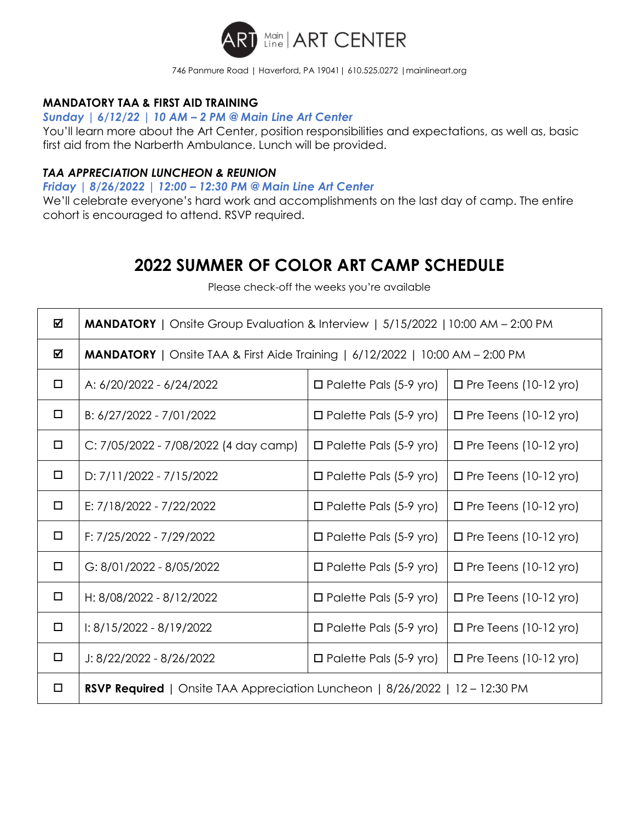

#### 746 Panmure Road | Haverford, PA 19041| 610.525.0272 |mainlineart.org

# **MANDATORY TAA & FIRST AID TRAINING**

*Sunday | 6/12/22 | 10 AM – 2 PM @ Main Line Art Center*

You'll learn more about the Art Center, position responsibilities and expectations, as well as, basic first aid from the Narberth Ambulance. Lunch will be provided.

### *TAA APPRECIATION LUNCHEON & REUNION*

*Friday | 8/26/2022 | 12:00 – 12:30 PM @ Main Line Art Center*

We'll celebrate everyone's hard work and accomplishments on the last day of camp. The entire cohort is encouraged to attend. RSVP required.

# **2022 SUMMER OF COLOR ART CAMP SCHEDULE**

Please check-off the weeks you're available

| ☑ | <b>MANDATORY</b>   Onsite Group Evaluation & Interview   5/15/2022   10:00 AM – 2:00 PM |                                                               |                              |  |  |  |
|---|-----------------------------------------------------------------------------------------|---------------------------------------------------------------|------------------------------|--|--|--|
| ☑ | <b>MANDATORY</b>   Onsite TAA & First Aide Training   $6/12/2022$   10:00 AM - 2:00 PM  |                                                               |                              |  |  |  |
| □ | A: 6/20/2022 - 6/24/2022                                                                | $\Box$ Palette Pals (5-9 yro)<br>$\Box$ Pre Teens (10-12 yro) |                              |  |  |  |
| □ | B: 6/27/2022 - 7/01/2022                                                                | $\Box$ Palette Pals (5-9 yro)                                 | $\Box$ Pre Teens (10-12 yro) |  |  |  |
| □ | C: 7/05/2022 - 7/08/2022 (4 day camp)                                                   | $\Box$ Palette Pals (5-9 yro)<br>$\Box$ Pre Teens (10-12 yro) |                              |  |  |  |
| □ | D: 7/11/2022 - 7/15/2022                                                                | $\Box$ Palette Pals (5-9 yro)                                 | $\Box$ Pre Teens (10-12 yro) |  |  |  |
| □ | E: 7/18/2022 - 7/22/2022                                                                | $\Box$ Palette Pals (5-9 yro)                                 | $\Box$ Pre Teens (10-12 yro) |  |  |  |
| □ | F: 7/25/2022 - 7/29/2022                                                                | $\Box$ Palette Pals (5-9 yro)                                 | $\Box$ Pre Teens (10-12 yro) |  |  |  |
| □ | G: 8/01/2022 - 8/05/2022                                                                | $\Box$ Palette Pals (5-9 yro)                                 | $\Box$ Pre Teens (10-12 yro) |  |  |  |
| □ | H: 8/08/2022 - 8/12/2022                                                                | $\Box$ Palette Pals (5-9 yro)                                 | $\Box$ Pre Teens (10-12 yro) |  |  |  |
| □ | $1: 8/15/2022 - 8/19/2022$                                                              | $\Box$ Palette Pals (5-9 yro)                                 | $\Box$ Pre Teens (10-12 yro) |  |  |  |
| ◻ | $J: 8/22/2022 - 8/26/2022$                                                              | $\Box$ Palette Pals (5-9 yro)                                 | $\Box$ Pre Teens (10-12 yro) |  |  |  |
| □ | <b>RSVP Required</b>   Onsite TAA Appreciation Luncheon   $8/26/2022$   12 – 12:30 PM   |                                                               |                              |  |  |  |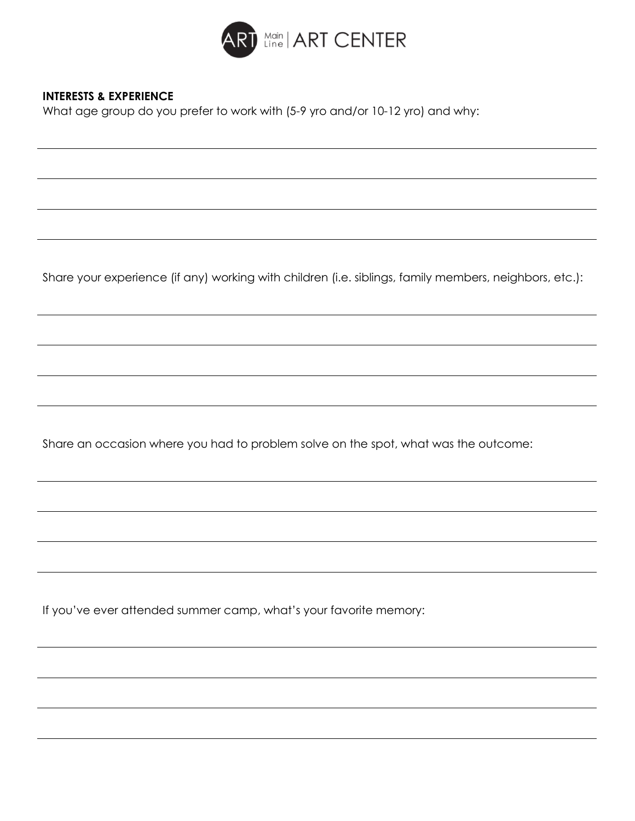

# **INTERESTS & EXPERIENCE**

What age group do you prefer to work with (5-9 yro and/or 10-12 yro) and why:

Share your experience (if any) working with children (i.e. siblings, family members, neighbors, etc.):

Share an occasion where you had to problem solve on the spot, what was the outcome:

If you've ever attended summer camp, what's your favorite memory: